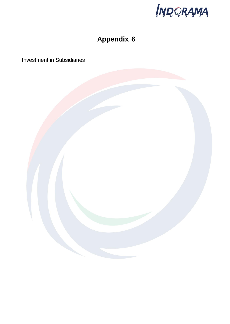

# **Appendix 6**

Investment in Subsidiaries

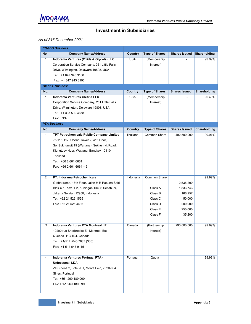

#### **Investment in Subsidiaries**

#### *As of 31st December 2021*

|                | <b>EG&amp;EO Business</b>                          |            |                       |                      |              |
|----------------|----------------------------------------------------|------------|-----------------------|----------------------|--------------|
| No.            | <b>Company Name/Address</b>                        | Country    | <b>Type of Shares</b> | <b>Shares Issued</b> | Shareholding |
| $\mathbf{1}$   | Indorama Ventures (Oxide & Glycols) LLC            | <b>USA</b> | (Membership           |                      | 99.99%       |
|                | Corporation Service Company, 251 Little Falls      |            | Interest)             |                      |              |
|                | Drive, Wilmington, Delaware 19808, USA             |            |                       |                      |              |
|                | Tel: +1 847 943 3100                               |            |                       |                      |              |
|                | Fax: +1 847 943 3196                               |            |                       |                      |              |
|                | <b>Olefins Business</b>                            |            |                       |                      |              |
| No.            | <b>Company Name/Address</b>                        | Country    | <b>Type of Shares</b> | <b>Shares Issued</b> | Shareholding |
| $\mathbf{1}$   | <b>Indorama Ventures Olefins LLC</b>               | <b>USA</b> | (Membership           |                      | 90.40%       |
|                | Corporation Service Company, 251 Little Falls      |            | Interest)             |                      |              |
|                | Drive, Wilmington, Delaware 19808, USA             |            |                       |                      |              |
|                | Tel: +1 337 502 4678                               |            |                       |                      |              |
|                | Fax: N/A                                           |            |                       |                      |              |
|                | <b>PTA Business</b>                                |            |                       |                      |              |
| No.            | <b>Company Name/Address</b>                        | Country    | <b>Type of Shares</b> | <b>Shares Issued</b> | Shareholding |
| $\mathbf{1}$   | TPT Petrochemicals Public Company Limited          | Thailand   | Common Share          | 492,500,000          | 99.97%       |
|                | 75/116-117, Ocean Tower 2, 41 <sup>st</sup> Floor, |            |                       |                      |              |
|                | Soi Sukhumvit 19 (Wattana), Sukhumvit Road,        |            |                       |                      |              |
|                | Klongtoey Nuer, Wattana, Bangkok 10110,            |            |                       |                      |              |
|                | Thailand                                           |            |                       |                      |              |
|                | Tel: +66 2 661 6661                                |            |                       |                      |              |
|                | Fax: $+6626616664 - 5$                             |            |                       |                      |              |
|                |                                                    |            |                       |                      |              |
| $\overline{2}$ | <b>PT. Indorama Petrochemicals</b>                 | Indonesia  | Common Share          |                      | 99.99%       |
|                | Graha Irama, 16th Floor, Jalan H R Rasuna Said,    |            |                       | 2,535,200            |              |
|                | Blok X-1, Kav. 1-2, Kuningan Timur, Setiabudi,     |            | Class A               | 1,833,743            |              |
|                | Jakarta Selatan 12950, Indonesia                   |            | Class B               | 166,257              |              |
|                | Tel: +62 21 526 1555                               |            | Class C               | 50,000               |              |
|                | Fax: +62 21 526 4436                               |            | Class D               | 200,000              |              |
|                |                                                    |            | Class E               | 250,000              |              |
|                |                                                    |            | Class F               | 35,200               |              |
|                |                                                    |            |                       |                      |              |
| 3              | Indorama Ventures PTA Montreal LP.                 | Canada     | (Partnership          | 290,000,000          | 99.99%       |
|                | 10200 rue Sherbrooke E., Montreal-Est,             |            | Interest)             |                      |              |
|                | Quebec H1B 1B4, Canada                             |            |                       |                      |              |
|                | Tel: +1(514) 645 7887 (365)                        |            |                       |                      |              |
|                | Fax: +1 514 645 9115                               |            |                       |                      |              |
|                |                                                    |            |                       |                      |              |
| $\overline{4}$ | Indorama Ventures Portugal PTA -                   | Portugal   | Quota                 | $\mathbf{1}$         | 99.99%       |
|                | Unipessoal, LDA.                                   |            |                       |                      |              |
|                | ZILS Zona 2, Lote 2E1, Monte Feio, 7520-064        |            |                       |                      |              |
|                | Sines, Portugal                                    |            |                       |                      |              |
|                | Tel: +351 269 189 000                              |            |                       |                      |              |
|                | Fax: +351 269 189 099                              |            |                       |                      |              |
|                |                                                    |            |                       |                      |              |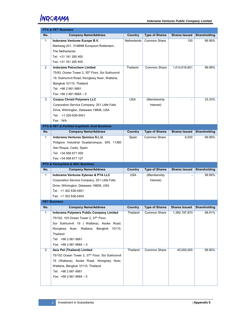|                | <b>PTA &amp; PET Business</b>                               |             |                       |                      |              |
|----------------|-------------------------------------------------------------|-------------|-----------------------|----------------------|--------------|
| No.            | <b>Company Name/Address</b>                                 | Country     | <b>Type of Shares</b> | <b>Shares Issued</b> | Shareholding |
| $\mathbf{1}$   | Indorama Ventures Europe B.V.                               | Netherlands | <b>Common Share</b>   | 100                  | 99.99%       |
|                | Markweg 201, 3198NB Europoort Rotterdam,                    |             |                       |                      |              |
|                | The Netherlands                                             |             |                       |                      |              |
|                | Tel: +31 181 285 400                                        |             |                       |                      |              |
|                | Fax: +31 181 285 405                                        |             |                       |                      |              |
| $\overline{2}$ | Indorama Petrochem Limited                                  | Thailand    | Common Share          | 1,014,616,651        | 99.99%       |
|                | 75/93, Ocean Tower 2, 35 <sup>th</sup> Floor, Soi Sukhumvit |             |                       |                      |              |
|                | 19, Sukhumvit Road, Klongtoey Nuer, Wattana,                |             |                       |                      |              |
|                | Bangkok 10110, Thailand                                     |             |                       |                      |              |
|                | Tel: +66 2 661 6661                                         |             |                       |                      |              |
|                | Fax: $+6626616664 - 5$                                      |             |                       |                      |              |
| 3              | <b>Corpus Christi Polymers LLC</b>                          | <b>USA</b>  | (Membership           |                      | 33.33%       |
|                | Corporation Service Company, 251 Little Falls               |             | Interest)             |                      |              |
|                | Drive, Wilmington, Delaware 19808, USA                      |             |                       |                      |              |
|                | Tel: +1 320-636-5401                                        |             |                       |                      |              |
|                | Fax: N/A                                                    |             |                       |                      |              |
|                | PTA & PET & Purified Isopthalic Acid Business               |             |                       |                      |              |
| No.            | <b>Company Name/Address</b>                                 | Country     | <b>Type of Shares</b> | <b>Shares Issued</b> | Shareholding |
| $\mathbf{1}$   | Indorama Ventures Quimica S.L.U.                            | Spain       | Common Share          | 6,000                | 99.99%       |
|                | Poligono Industrial Guadarranque, S/N, 11360                |             |                       |                      |              |
|                | San Roque, Cadiz, Spain                                     |             |                       |                      |              |
|                | Tel: +34 956 671 000                                        |             |                       |                      |              |
|                |                                                             |             |                       |                      |              |
|                | Fax: +34 956 671 127                                        |             |                       |                      |              |
|                | PTA & Paraxylene & NDC Business                             |             |                       |                      |              |
| No.            | <b>Company Name/Address</b>                                 | Country     | <b>Type of Shares</b> | <b>Shares Issued</b> | Shareholding |
| $\mathbf{1}$   | Indorama Ventures Xylenes & PTA LLC                         | <b>USA</b>  | (Membership           |                      | 99.99%       |
|                | Corporation Service Company, 251 Little Falls               |             | Interest)             |                      |              |
|                | Drive, Wilmington, Delaware 19808, USA                      |             |                       |                      |              |
|                | Tel: +1 302 636-5401                                        |             |                       |                      |              |
|                | Fax: +1 302 636-5454                                        |             |                       |                      |              |
|                | <b>PET Business</b>                                         |             |                       |                      |              |
| No.            | <b>Company Name/Address</b>                                 | Country     | <b>Type of Shares</b> | <b>Shares Issued</b> | Shareholding |
| 1              | Indorama Polymers Public Company Limited                    | Thailand    | Common Share          | 1,382,197,870        | 99.91%       |
|                | 75/102, 103 Ocean Tower 2, 37th Floor,                      |             |                       |                      |              |
|                | Soi Sukhumvit 19 (Wattana), Asoke Road,                     |             |                       |                      |              |
|                | Klongtoey Nuer, Wattana, Bangkok 10110,                     |             |                       |                      |              |
|                | Thailand                                                    |             |                       |                      |              |
|                | Tel: +66 2 661 6661                                         |             |                       |                      |              |
|                | Fax: $+6626616664 - 5$                                      |             |                       |                      |              |
| $\overline{2}$ | Asia Pet (Thailand) Limited                                 | Thailand    | Common Share          | 45,000,000           | 99.90%       |
|                | 75/102 Ocean Tower 2, 37th Floor, Soi Sukhumvit             |             |                       |                      |              |
|                | 19 (Wattana), Asoke Road, Klongtoey Nuer,                   |             |                       |                      |              |
|                | Wattana, Bangkok 10110, Thailand                            |             |                       |                      |              |
|                | Tel: +66 2 661 6661                                         |             |                       |                      |              |
|                | Fax: $+6626616664-5$                                        |             |                       |                      |              |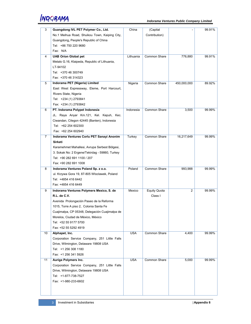| 3  | Guangdong IVL PET Polymer Co., Ltd.                            | China      | (Capital            |                | 99.91% |
|----|----------------------------------------------------------------|------------|---------------------|----------------|--------|
|    | No.1 Meihua Road, Shuikou Town, Kaiping City,                  |            | Contribution)       |                |        |
|    |                                                                |            |                     |                |        |
|    | Guangdong, People's Republic of China<br>Tel: +86 750 220 9680 |            |                     |                |        |
|    | Fax: N/A                                                       |            |                     |                |        |
|    |                                                                |            |                     |                |        |
| 4  | <b>UAB Orion Global pet</b>                                    | Lithuania  | Common Share        | 776,880        | 99.91% |
|    | Metalo G.16, Klaipeda, Republic of Lithuania,                  |            |                     |                |        |
|    | LT-94102                                                       |            |                     |                |        |
|    | Tel: +370 46 300749                                            |            |                     |                |        |
|    | Fax: +370 46 314323                                            |            |                     |                |        |
| 5  | Indorama PET (Nigeria) Limited                                 | Nigeria    | <b>Common Share</b> | 450,000,000    | 89.92% |
|    | East West Expressway, Eleme, Port Harcourt,                    |            |                     |                |        |
|    | Rivers State, Nigeria                                          |            |                     |                |        |
|    | Tel: +234 (1) 2793841                                          |            |                     |                |        |
|    | Fax: +234 (1) 2793842                                          |            |                     |                |        |
| 6  | PT. Indorama Polypet Indonesia                                 | Indonesia  | <b>Common Share</b> | 3,500          | 99.99% |
|    | JL. Raya Anyar Km.121, Kel. Kepuh, Kec.                        |            |                     |                |        |
|    | Ciwandan, Cilegon 42445 (Banten), Indonesia                    |            |                     |                |        |
|    | Tel: +62 254 602300                                            |            |                     |                |        |
|    | Fax: +62 254 602940                                            |            |                     |                |        |
| 7  | Indorama Ventures Corlu PET Sanayi Anonim                      | Turkey     | Common Share        | 16,217,649     | 99.99% |
|    | Sirketi                                                        |            |                     |                |        |
|    | Karamehmet Mahallesi, Avrupa Serbest Bölgesi,                  |            |                     |                |        |
|    | 3. Sokak No: 2 Ergene/Tekirdag - 59860, Turkey                 |            |                     |                |        |
|    | Tel: +90 282 691 1100 / 207                                    |            |                     |                |        |
|    | Fax: +90 282 691 1008                                          |            |                     |                |        |
| 8  | Indorama Ventures Poland Sp. z o.o.                            | Poland     | <b>Common Share</b> | 993,988        | 99.99% |
|    | ul. Krzywa Gora 19, 87-805 Wloclawek, Poland                   |            |                     |                |        |
|    | Tel: +4854 416 6442                                            |            |                     |                |        |
|    | Fax: +4854 416 6449                                            |            |                     |                |        |
| 9  | Indorama Ventures Polymers Mexico, S. de                       | Mexico     | Equity Quota        | $\overline{2}$ | 99.99% |
|    | R.L. de C.V.                                                   |            | Class I             |                |        |
|    | Avenida Prolongación Paseo de la Reforma                       |            |                     |                |        |
|    | 1015, Torre A piso 2, Colonia Santa Fe                         |            |                     |                |        |
|    | Cuajimalpa, CP 05348, Delegación Cuajimalpa de                 |            |                     |                |        |
|    | Morelos, Ciudad de México, México                              |            |                     |                |        |
|    | Tel: +52 55 9177 5700                                          |            |                     |                |        |
|    | Fax: +52 55 5292 4919                                          |            |                     |                |        |
| 10 | Alphapet, Inc.                                                 | <b>USA</b> | Common Share        | 4,400          | 99.99% |
|    | Corporation Service Company, 251 Little Falls                  |            |                     |                |        |
|    | Drive, Wilmington, Delaware 19808 USA                          |            |                     |                |        |
|    | Tel: +1 256 308 1180                                           |            |                     |                |        |
|    | Fax: +1 256 341 5926                                           |            |                     |                |        |
| 11 | Auriga Polymers Inc.                                           | <b>USA</b> | Common Share        | 5,000          | 99.99% |
|    | Corporation Service Company, 251 Little Falls                  |            |                     |                |        |
|    | Drive, Wilmington, Delaware 19808 USA                          |            |                     |                |        |
|    | Tel: +1-877-738-7527                                           |            |                     |                |        |
|    | Fax: +1-980-233-6602                                           |            |                     |                |        |
|    |                                                                |            |                     |                |        |
|    |                                                                |            |                     |                |        |
|    |                                                                |            |                     |                |        |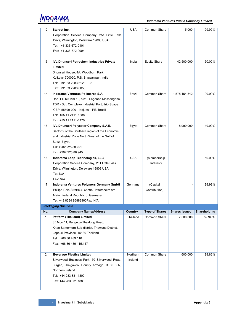|                |                                                  |               | Common Share          |                      |              |
|----------------|--------------------------------------------------|---------------|-----------------------|----------------------|--------------|
| 12             | Starpet Inc.                                     | <b>USA</b>    |                       | 5,000                | 99.99%       |
|                | Corporation Service Company, 251 Little Falls    |               |                       |                      |              |
|                | Drive, Wilmington, Delaware 19808 USA            |               |                       |                      |              |
|                | Tel: +1-336-672-0101                             |               |                       |                      |              |
|                | Fax: +1-336-672-0904                             |               |                       |                      |              |
|                |                                                  |               |                       |                      |              |
| 13             | <b>IVL Dhunseri Petrochem Industries Private</b> | India         | <b>Equity Share</b>   | 42,500,000           | 50.00%       |
|                | Limited                                          |               |                       |                      |              |
|                | Dhunseri House, 4A, Woodburn Park,               |               |                       |                      |              |
|                | Kolkata- 700020, P.S. Bhawanipur, India          |               |                       |                      |              |
|                | Tel: +91 33 2283 6128 - 33                       |               |                       |                      |              |
|                | Fax: +91 33 2283 6056                            |               |                       |                      |              |
| 14             | Indorama Ventures Polimeros S.A.                 | <b>Brazil</b> | <b>Common Share</b>   | 1,578,454,842        | 99.99%       |
|                | Rod. PE-60, Km 10, s/nº - Engenho Massangana,    |               |                       |                      |              |
|                | TDR - Sul. Complexo Industrial Portuário Suape.  |               |                       |                      |              |
|                | 'CEP: 55590-000 - Ipojuca - PE, Brazil           |               |                       |                      |              |
|                | Tel: +55 11 2111-1388                            |               |                       |                      |              |
|                | Fax: +55 11 2111-1470                            |               |                       |                      |              |
| 15             | <b>IVL Dhunseri Polyester Company S.A.E.</b>     | Egypt         | Common Share          | 8,990,000            | 49.99%       |
|                | Sector 2 of the Southern region of the Economic  |               |                       |                      |              |
|                | and Industrial Zone North West of the Gulf of    |               |                       |                      |              |
|                | Suez, Egypt.                                     |               |                       |                      |              |
|                | Tel: +202 225 88 991                             |               |                       |                      |              |
|                | Fax: +202 225 88 945                             |               |                       |                      |              |
| 16             | Indorama Loop Technologies, LLC                  | <b>USA</b>    | (Membership           |                      | 50.00%       |
|                | Corporation Service Company, 251 Little Falls    |               | Interest)             |                      |              |
|                | Drive, Wilmington, Delaware 19808 USA.           |               |                       |                      |              |
|                | Tel: N/A                                         |               |                       |                      |              |
|                | Fax: N/A                                         |               |                       |                      |              |
| 17             | Indorama Ventures Polymers Germany GmbH          | Germany       | (Capital              |                      | 99.99%       |
|                | Philipp-Reis-Straße 4, 65795 Hattersheim am      |               | Contribution)         |                      |              |
|                | Main, Federal Republic of Germany                |               |                       |                      |              |
|                | Tel: +49 8234 96882900Fax: N/A                   |               |                       |                      |              |
|                | <b>Packaging Business</b>                        |               |                       |                      |              |
| No.            | <b>Company Name/Address</b>                      | Country       | <b>Type of Shares</b> | <b>Shares Issued</b> | Shareholding |
| $\mathbf{1}$   | Petform (Thailand) Limited                       | Thailand      | <b>Common Share</b>   | 7,500,000            | 59.94 %      |
|                | 85 Moo 11, Bangnga-Thaklong Road,                |               |                       |                      |              |
|                | Khao Samorkorn Sub-district, Thawung District,   |               |                       |                      |              |
|                | Lopburi Province, 15180 Thailand                 |               |                       |                      |              |
|                | Tel: +66 36 489 116                              |               |                       |                      |              |
|                | Fax: +66 36 489 115,117                          |               |                       |                      |              |
|                |                                                  |               |                       |                      |              |
| $\overline{2}$ | <b>Beverage Plastics Limited</b>                 | Northern      | Common Share          | 600,000              | 99.86%       |
|                | Silverwood Business Park, 70 Silverwood Road,    | Ireland       |                       |                      |              |
|                | Lurgan, Craigavon, County Armagh, BT66 6LN,      |               |                       |                      |              |
|                | Northern Ireland                                 |               |                       |                      |              |
|                | Tel: +44 283 831 1800                            |               |                       |                      |              |
|                | Fax: +44 283 831 1888                            |               |                       |                      |              |
|                |                                                  |               |                       |                      |              |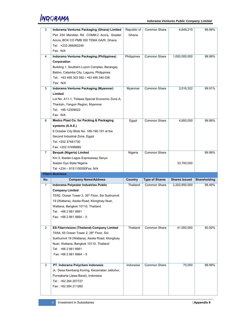| 3              | Indorama Ventures Packaging (Ghana) Limited                 | Republic of | Common Share          | 4,649,215            | 99.99%       |
|----------------|-------------------------------------------------------------|-------------|-----------------------|----------------------|--------------|
|                | Plot 234 Meridian Rd. COMM.2 Accra, Greater                 | Ghana       |                       |                      |              |
|                | Accra, BOX CO PMB 350 TEMA GA/R, Ghana                      |             |                       |                      |              |
|                | Tel: +233 266082249                                         |             |                       |                      |              |
|                | Fax: N/A                                                    |             |                       |                      |              |
| 4              | Indorama Ventures Packaging (Philippines)                   | Philippines | Common Share          | 1,000,000,000        | 99.99%       |
|                | Corporation                                                 |             |                       |                      |              |
|                |                                                             |             |                       |                      |              |
|                | Building 1, Southern Luzon Complex, Barangay                |             |                       |                      |              |
|                | Batino, Calamba City, Laguna, Philippines                   |             |                       |                      |              |
|                | Tel: +63 495 303 592 / +63 495 340 036                      |             |                       |                      |              |
|                | Fax: N/A                                                    |             |                       |                      |              |
| 5              | Indorama Ventures Packaging (Myanmar)                       | Myanmar     | Common Share          | 3,516,322            | 99.91%       |
|                | Limited                                                     |             |                       |                      |              |
|                | Lot No. A11-1, Thilawa Special Economic Zone A,             |             |                       |                      |              |
|                | Thanlyin, Yangon Region, Myanmar                            |             |                       |                      |              |
|                | Tel: +95-12309022                                           |             |                       |                      |              |
|                | Fax: N/A                                                    |             |                       |                      |              |
| 6              | Medco Plast Co. for Packing & Packaging                     | Egypt       | Common Share          | 4,950,000            | 99.99%       |
|                | systems (S.A.E.)                                            |             |                       |                      |              |
|                | 6 October City Blots No. 189-190-191 at the                 |             |                       |                      |              |
|                | Second Industrial Zone, Eqypt                               |             |                       |                      |              |
|                | Tel: +202 37481730                                          |             |                       |                      |              |
|                | Fax: +202 37499685                                          |             |                       |                      |              |
| $\overline{7}$ | Bevpak (Nigeria) Limited                                    | Nigeria     | Common Share          |                      | 99.99%       |
|                | Km 3, Ibadan-Lagos Expressway Sanyo                         |             |                       |                      |              |
|                |                                                             |             |                       |                      |              |
|                | Ibadan Oyo State Nigeria                                    |             |                       | 33,700,000           |              |
|                | Tel: +234 - 8151100050Fax: N/A                              |             |                       |                      |              |
|                | <b>Fibers Business</b>                                      |             |                       |                      |              |
| No.            | <b>Company Name/Address</b>                                 | Country     | <b>Type of Shares</b> | <b>Shares Issued</b> | Shareholding |
| $\mathbf{1}$   | Indorama Polyester Industries Public                        | Thailand    | Common Share          | 2,202,850,000        | 99.49%       |
|                | <b>Company Limited</b>                                      |             |                       |                      |              |
|                | 75/92, Ocean Tower 2, 35 <sup>th</sup> Floor, Soi Sukhumvit |             |                       |                      |              |
|                | 19 (Wattana), Asoke Road, Klongtoey Nuer,                   |             |                       |                      |              |
|                | Wattana, Bangkok 10110, Thailand                            |             |                       |                      |              |
|                | Tel: +66 2 661 6661                                         |             |                       |                      |              |
|                | Fax: $+6626616664 - 5$                                      |             |                       |                      |              |
|                |                                                             |             |                       |                      |              |
| $\overline{2}$ | ES Fibervisions (Thailand) Company Limited                  | Thailand    | Common Share          | 41,000,000           | 50.00%       |
|                | 75/64, 65 Ocean Tower 2, 28th Floor, Soi                    |             |                       |                      |              |
|                | Sukhumvit 19 (Wattana), Asoke Road, Klongtoey               |             |                       |                      |              |
|                | Nuer, Wattana, Bangkok 10110, Thailand                      |             |                       |                      |              |
|                | Tel: +66 2 661 6661                                         |             |                       |                      |              |
|                | Fax: $+6626616664 - 5$                                      |             |                       |                      |              |
|                |                                                             |             |                       |                      |              |
| 3              | PT. Indorama Polychem Indonesia                             | Indonesia   | Common Share          | 70,000               | 99.99%       |
|                | JL. Desa Kembang Kuning, Kecamatan Jatiluhur,               |             |                       |                      |              |
|                | Purwakarta (Jawa Barat), Indonesia                          |             |                       |                      |              |
|                | Tel: +62 264 207727                                         |             |                       |                      |              |
|                | Fax: +62 264 211260                                         |             |                       |                      |              |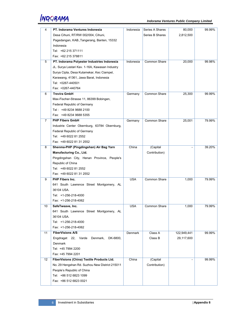ĮŅDORAMĄ

| 4              | PT. Indorama Ventures Indonesia                | Indonesia      | Series A Shares     | 80,000      | 99.99% |
|----------------|------------------------------------------------|----------------|---------------------|-------------|--------|
|                |                                                |                |                     |             |        |
|                | Desa Cihuni, RT/RW 002/004, Cihuni,            |                | Series B Shares     | 2,812,500   |        |
|                | Pagedangan, KAB., Tangerang, Banten, 15332     |                |                     |             |        |
|                | Indonesia                                      |                |                     |             |        |
|                | Tel: +62 215 371111                            |                |                     |             |        |
|                | Fax: +62 215 378811                            |                |                     |             |        |
| 5              | PT. Indorama Polyester Industries Indonesia    | Indonesia      | Common Share        | 20,000      | 99.98% |
|                | JL. Surya Lestari Kav. 1-16A, Kawasan Industry |                |                     |             |        |
|                | Surya Cipta, Desa Kutamekar, Kec Ciampel,      |                |                     |             |        |
|                | Karawang, 41361, Jawa Barat, Indonesia         |                |                     |             |        |
|                | Tel: +0267-440501                              |                |                     |             |        |
|                | Fax: +0267-440764                              |                |                     |             |        |
| 6              | <b>Trevira GmbH</b>                            | Germany        | Common Share        | 25,300      | 99.99% |
|                | Max-Fischer-Strasse 11, 86399 Bobingen,        |                |                     |             |        |
|                | Federal Republic of Germany                    |                |                     |             |        |
|                | Tel: +49 8234 9688 2100                        |                |                     |             |        |
|                | Fax: +49 8234 9688 5355                        |                |                     |             |        |
| $\overline{7}$ | <b>PHP Fibers GmbH</b>                         | Germany        | Common Share        | 25,001      | 79.99% |
|                | Industrie Center Obernburg, 63784 Obernburg,   |                |                     |             |        |
|                | Federal Republic of Germany                    |                |                     |             |        |
|                | Tel: +49 6022 81 2552                          |                |                     |             |        |
|                | Fax: +49 6022 81 31 2552                       |                |                     |             |        |
| 8              | Shenma-PHP (Pingdingshan) Air Bag Yarn         | China          | (Capital            |             | 39.20% |
|                |                                                |                |                     |             |        |
|                | Manufacturing Co., Ltd.                        |                | Contribution)       |             |        |
|                | Pingdingshan City, Henan Province, People's    |                |                     |             |        |
|                | Republic of China                              |                |                     |             |        |
|                | Tel: +49 6022 81 2552                          |                |                     |             |        |
|                | Fax: +49 6022 81 31 2552                       |                |                     |             |        |
| 9              | <b>PHP Fibers Inc.</b>                         | <b>USA</b>     | <b>Common Share</b> | 1,000       | 79.99% |
|                | 641 South Lawrence Street Montgomery, AL       |                |                     |             |        |
|                | 36104 USA.                                     |                |                     |             |        |
|                | Tel: +1-256-218-4000                           |                |                     |             |        |
|                | Fax: +1-256-218-4062                           |                |                     |             |        |
| 10             | SafeTweave, Inc.                               | <b>USA</b>     | <b>Common Share</b> | 1.000       | 79.99% |
|                | 641 South Lawrence Street Montgomery, AL       |                |                     |             |        |
|                | 36104 USA.                                     |                |                     |             |        |
|                | Tel: +1-256-218-4000                           |                |                     |             |        |
|                | Fax: +1-256-218-4062                           |                |                     |             |        |
| 11             | <b>FiberVisions A/S</b>                        | <b>Denmark</b> | Class A             | 122,949,441 | 99.99% |
|                | Engdraget 22, Varde<br>Denmark,<br>DK-6800,    |                | Class B             | 29,117,600  |        |
|                | Denmark                                        |                |                     |             |        |
|                | Tel: +45 7994 2200                             |                |                     |             |        |
|                | Fax: +45 7994 2201                             |                |                     |             |        |
| 12             | FiberVisions (China) Textile Products Ltd.     | China          | (Capital            |             | 99.99% |
|                | No. 29 Hengshan Rd. Suzhou New District 215011 |                | Contribution)       |             |        |
|                | People's Republic of China                     |                |                     |             |        |
|                | Tel: +86 512 6823 1099                         |                |                     |             |        |
|                |                                                |                |                     |             |        |
|                | Fax: +86 512 6823 0021                         |                |                     |             |        |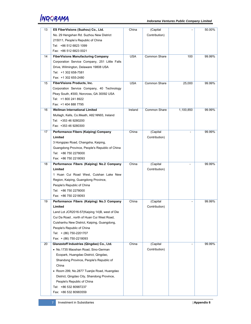| 13 | ES FiberVisions (Suzhou) Co., Ltd.             | China      | (Capital      |           | 50.00% |
|----|------------------------------------------------|------------|---------------|-----------|--------|
|    | No. 29 Hengshan Rd. Suzhou New District        |            | Contribution) |           |        |
|    | 215011, People's Republic of China             |            |               |           |        |
|    | Tel: +86 512 6823 1099                         |            |               |           |        |
|    |                                                |            |               |           |        |
|    | Fax: +86 512 6823 0021                         |            |               |           |        |
| 14 | <b>FiberVisions Manufacturing Company</b>      | <b>USA</b> | Common Share  | 100       | 99.99% |
|    | Corporation Service Company, 251 Little Falls  |            |               |           |        |
|    | Drive, Wilmington, Delaware 19808 USA          |            |               |           |        |
|    | Tel: +1 302 658-7581                           |            |               |           |        |
|    | Fax: +1 302 655-2480                           |            |               |           |        |
| 15 | FiberVisions Products, Inc.                    | <b>USA</b> | Common Share  | 25,000    | 99.99% |
|    | Corporation Service Company, 40 Technology     |            |               |           |        |
|    | Pkwy South, #300, Norcross, GA 30092 USA       |            |               |           |        |
|    | Tel: +1 800 241 8922                           |            |               |           |        |
|    | Fax: +1 404 888 7795                           |            |               |           |        |
| 16 | <b>Wellman International Limited</b>           | Ireland    | Common Share  | 1,100,850 | 99.99% |
|    | Mullagh, Kells, Co.Meath, A82 NN93, Ireland    |            |               |           |        |
|    | Tel: +353 46 9280200                           |            |               |           |        |
|    | Fax: +353 46 9280300                           |            |               |           |        |
| 17 | Performance Fibers (Kaiping) Company           | China      | (Capital      |           | 99.99% |
|    | Limited                                        |            | Contribution) |           |        |
|    | 3 Hongqiao Road, Changsha, Kaiping,            |            |               |           |        |
|    | Guangdong Province, People's Republic of China |            |               |           |        |
|    | Tel: +86 750 2278000                           |            |               |           |        |
|    | Fax: +86 750 2218093                           |            |               |           |        |
| 18 | Performance Fibers (Kaiping) No.2 Company      | China      | (Capital      |           | 99.99% |
|    | Limited                                        |            | Contribution) |           |        |
|    | 1 Huan Cui Road West, Cuishan Lake New         |            |               |           |        |
|    | Region, Kaiping, Guangdong Province,           |            |               |           |        |
|    | People's Republic of China                     |            |               |           |        |
|    | Tel: +86 750 2278000                           |            |               |           |        |
|    | Fax: +86 750 2218093                           |            |               |           |        |
| 19 | Performance Fibers (Kaiping) No.3 Company      | China      | (Capital      |           | 99.99% |
|    | Limited                                        |            | Contribution) |           |        |
|    |                                                |            |               |           |        |
|    | Land Lot JCR2016-57(Kaiping 14)B, west of Die  |            |               |           |        |
|    |                                                |            |               |           |        |
|    | Cui Da Road, north of Huan Cui West Road,      |            |               |           |        |
|    | Cuishanhu New District, Kaiping, Guangdong,    |            |               |           |        |
|    | People's Republic of China                     |            |               |           |        |
|    | Tel: + (86) 750-2201707                        |            |               |           |        |
|    | Fax: + (86) 750-2218093                        |            |               |           |        |
| 20 | Glanzstoff Industries (Qingdao) Co., Ltd.      | China      | (Capital      |           | 99.99% |
|    | • No.1735 Maoshan Road, Sino-German            |            | Contribution) |           |        |
|    | Ecopark, Huangdao District, Qingdao,           |            |               |           |        |
|    | Shandong Province, People's Republic of        |            |               |           |        |
|    | China                                          |            |               |           |        |
|    | • Room 299, No.2877 Tuanjie Road, Huangdao     |            |               |           |        |
|    | District, Qingdao City, Shandong Province,     |            |               |           |        |
|    | People's Republic of China                     |            |               |           |        |
|    | Tel: +86 532 80987237                          |            |               |           |        |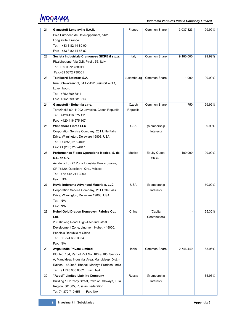| 21 | Glanzstoff Longlaville S.A.S.                      | France     | Common Share        | 3,037,323 | 99.99% |
|----|----------------------------------------------------|------------|---------------------|-----------|--------|
|    | Pôle Europeen de Développement, 54810              |            |                     |           |        |
|    | Longlaville, France                                |            |                     |           |        |
|    | Tel: +33 3 82 44 80 00                             |            |                     |           |        |
|    | Fax: +33 3 82 44 56 82                             |            |                     |           |        |
| 22 | Società Industriale Cremonese SICREM s.p.a.        | Italy      | Common Share        | 9,180,000 | 99.99% |
|    | Pizzighettone, Via G.B. Pirelli, 56, Italy         |            |                     |           |        |
|    | Tel: +39 0372 738011                               |            |                     |           |        |
|    | Fax:+39 0372 730001                                |            |                     |           |        |
| 23 | <b>Textilcord Steinfort S.A.</b>                   | Luxembourg | <b>Common Share</b> | 1,000     | 99.99% |
|    | Rue Schwarzenhof, 34 L-8452 Steinfort - GD,        |            |                     |           |        |
|    | Luxembourg                                         |            |                     |           |        |
|    | Tel: +352 399 8811                                 |            |                     |           |        |
|    | Fax: +352 399 881 213                              |            |                     |           |        |
| 24 | Glanzstoff - Bohemia s.r.o.                        | Czech      | Common Share        | 750       | 99.99% |
|    | Terezínská 60, 41002 Lovosice, Czech Republic      | Republic   |                     |           |        |
|    | Tel: +420 416 575 111                              |            |                     |           |        |
|    | Fax: +420 416 575 107                              |            |                     |           |        |
| 25 | <b>Winnsboro Fibres LLC</b>                        | <b>USA</b> | (Membership         |           | 99.99% |
|    | Corporation Service Company, 251 Little Falls      |            | Interest)           |           |        |
|    | Drive, Wilmington, Delaware 19808, USA             |            |                     |           |        |
|    | Tel: +1 (256) 218-4006                             |            |                     |           |        |
|    | Fax: +1 (256) 218-4017                             |            |                     |           |        |
| 26 | Performance Fibers Operations Mexico, S. de        | Mexico     | <b>Equity Quota</b> | 100,000   | 99.99% |
|    | R.L. de C.V.                                       |            | Class I             |           |        |
|    | Av. de la Luz 77 Zona Industrial Benito Juárez,    |            |                     |           |        |
|    | CP 76120, Querétaro, Qro., México                  |            |                     |           |        |
|    | Tel: +52 442 211 3000                              |            |                     |           |        |
|    | Fax: N/A                                           |            |                     |           |        |
| 27 | Huvis Indorama Advanced Materials, LLC             | <b>USA</b> | (Membership         |           | 50.00% |
|    | Corporation Service Company, 251 Little Falls      |            | Interest)           |           |        |
|    | Drive, Wilmington, Delaware 19808, USA             |            |                     |           |        |
|    | Tel: N/A                                           |            |                     |           |        |
|    | Fax: N/A                                           |            |                     |           |        |
| 28 | Hubei Gold Dragon Nonwoven Fabrics Co.,            | China      | (Capital            |           | 65.30% |
|    | Ltd.                                               |            | Contribution)       |           |        |
|    | 236 Xinlong Road, High-Tech Industrial             |            |                     |           |        |
|    | Development Zone, Jingmen, Hubei, 448000,          |            |                     |           |        |
|    | People's Republic of China                         |            |                     |           |        |
|    | Tel: 86 724 650 3034                               |            |                     |           |        |
|    | Fax: N/A                                           |            |                     |           |        |
| 29 | <b>Avgol India Private Limited</b>                 | India      | Common Share        | 2,746,449 | 65.96% |
|    | Plot No. 184, Part of Plot No. 183 & 185, Sector - |            |                     |           |        |
|    | A, Mandideep Industrial Area, Mandideep, Dist. -   |            |                     |           |        |
|    | Raisen – 462046, Bhopal, Madhya Pradesh, India     |            |                     |           |        |
|    |                                                    |            |                     |           |        |
| 30 | "Avgol" Limited Liability Company                  | Russia     | (Membership         |           | 65.96% |
|    | Building 1 Druzhby Street, town of Uzlovaya, Tula  |            | Interest)           |           |        |
|    | Region, 301605, Russian Federation                 |            |                     |           |        |
|    | Tel: 74 872 710 653<br>Fax: N/A                    |            |                     |           |        |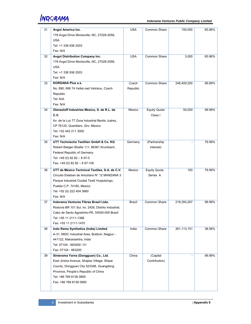

| 31 | Avgol America Inc.                                 | <b>USA</b>    | Common Share        | 150,000     | 65.96% |
|----|----------------------------------------------------|---------------|---------------------|-------------|--------|
|    | 178 Avgol Drive Mocksville, NC, 27028-2558,        |               |                     |             |        |
|    | <b>USA</b>                                         |               |                     |             |        |
|    | Tel: +1 336 936 2503                               |               |                     |             |        |
|    | Fax: N/A                                           |               |                     |             |        |
| 32 | Avgol Distribution Company Inc.                    | <b>USA</b>    | <b>Common Share</b> | 3,000       | 65.96% |
|    | 178 Avgol Drive Mocksville, NC, 27028-2558,        |               |                     |             |        |
|    | <b>USA</b>                                         |               |                     |             |        |
|    | Tel: +1 336 936 2503                               |               |                     |             |        |
|    | Fax: N/A                                           |               |                     |             |        |
| 33 | <b>KORDANA Plus a.s.</b>                           | Czech         | <b>Common Share</b> | 248,409,200 | 99.99% |
|    | No. 890, 696 74 Velká nad Velickou, Czech          | Republic      |                     |             |        |
|    | Republic                                           |               |                     |             |        |
|    | Tel: N/A                                           |               |                     |             |        |
|    | Fax: N/A                                           |               |                     |             |        |
| 34 | Glanzstoff Industries Mexico, S. de R.L. de        | Mexico        | <b>Equity Quota</b> | 50,000      | 99.99% |
|    | C.V.                                               |               | Class I             |             |        |
|    | Av. de la Luz 77 Zona Industrial Benito Juárez,    |               |                     |             |        |
|    | CP 76120, Querétaro, Qro. Mexico                   |               |                     |             |        |
|    | Tel: +52 442 211 3000                              |               |                     |             |        |
|    | Fax: N/A                                           |               |                     |             |        |
| 35 | UTT Technische Textilien GmbH & Co. KG             | Germany       | (Partnership        |             | 79.99% |
|    | Robert-Steiger-Straße 111, 86381 Krumbach,         |               | Interest)           |             |        |
|    | <b>Federal Republic of Germany</b>                 |               |                     |             |        |
|    | Tel: +49 (0) 82 82 - 8 97-0                        |               |                     |             |        |
|    | Fax: +49 (0) 82 82 - 8 97-100                      |               |                     |             |        |
|    |                                                    |               |                     |             |        |
| 36 | UTT de México Technical Textiles, S.A. de C.V.     | Mexico        | <b>Equity Quota</b> | 100         | 79.99% |
|    | Circuito Esteban de Antuñano N° 12 MANZANA 3       |               | Series A            |             |        |
|    | Parque Industrial Ciudad Textil Huejotzingo,       |               |                     |             |        |
|    | Puebla C.P. 74160, Mexico                          |               |                     |             |        |
|    | Tel: +52 (0) 222 454 3660                          |               |                     |             |        |
|    | Fax: N/A                                           |               |                     |             |        |
| 37 | Indorama Ventures Fibras Brasil Ltda.              | <b>Brazil</b> | Common Share        | 218,393,287 | 99.99% |
|    | Rodovia BR 101 Sul, no. 2426, Distrito Industrial, |               |                     |             |        |
|    | Cabo de Santo Agostinho-PE, 54500-000 Brazil       |               |                     |             |        |
|    | Tel: +55 11 2111-1388                              |               |                     |             |        |
|    | Fax: +55 11 2111-1470                              |               |                     |             |        |
| 38 | Indo Rama Synthetics (India) Limited               | India         | Common Share        | 261,113,151 | 38.56% |
|    | A-31, MIDC Industrial Area, Butibori, Nagpur -     |               |                     |             |        |
|    | 441122, Maharashtra, India                         |               |                     |             |        |
|    | Tel: 07104 - 663000 / 01                           |               |                     |             |        |
|    | Fax: 07104 - 663200                                |               |                     |             |        |
| 39 | Sinterama Yarns (Dongguan) Co., Ltd.               | China         | (Capital            |             | 99.99% |
|    | East Jinsha Avenue, Shajiao Village, Shipai        |               | Contribution)       |             |        |
|    | County, Dongguan City 523348, Guangdong            |               |                     |             |        |
|    | Province, People's Republic of China               |               |                     |             |        |
|    | Tel: +86 769 8136 0800                             |               |                     |             |        |
|    | Fax: +86 769 8136 0900                             |               |                     |             |        |
|    |                                                    |               |                     |             |        |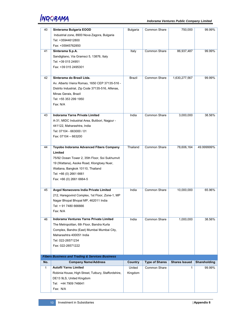| 40           | Sinterama Bulgaria EOOD                                    | Bulgaria | Common Share          | 750,000              | 99.99%       |
|--------------|------------------------------------------------------------|----------|-----------------------|----------------------|--------------|
|              | Industrial zone, 8900 Nova Zagora, Bulgaria                |          |                       |                      |              |
|              | Tel: +35944612800                                          |          |                       |                      |              |
|              | Fax: +35945762850                                          |          |                       |                      |              |
| 41           | Sinterama S.p.A.                                           | Italy    | Common Share          | 86,937,487           | 99.99%       |
|              | Sandigliano, Via Gramsci 5, 13876, Italy                   |          |                       |                      |              |
|              | Tel: +39 015 24951                                         |          |                       |                      |              |
|              | Fax: +39 015 2495301                                       |          |                       |                      |              |
|              |                                                            |          |                       |                      |              |
| 42           | Sinterama do Brasil Ltda.                                  | Brazil   | Common Share          | 1,630,277,567        | 99.99%       |
|              | Av. Alberto Vieira Romao, 1650 CEP 37135-516 -             |          |                       |                      |              |
|              | Distrito Industrial, Zip Code 37135-516, Alfenas,          |          |                       |                      |              |
|              | Minas Gerais, Brazil                                       |          |                       |                      |              |
|              | Tel: +55 353 299 1950                                      |          |                       |                      |              |
|              | Fax: N/A                                                   |          |                       |                      |              |
|              |                                                            |          |                       |                      |              |
| 43           | <b>Indorama Yarns Private Limited</b>                      | India    | Common Share          | 3,000,000            | 38.56%       |
|              | A-31, MIDC Industrial Area, Butibori, Nagpur -             |          |                       |                      |              |
|              | 441122, Maharashtra, India                                 |          |                       |                      |              |
|              | Tel: 07104 - 663000 / 01                                   |          |                       |                      |              |
|              | Fax: 07104 - 663200                                        |          |                       |                      |              |
|              |                                                            |          |                       |                      |              |
| 44           | Toyobo Indorama Advanced Fibers Company                    | Thailand | <b>Common Share</b>   | 78,606,164           | 49.999999%   |
|              | Limited                                                    |          |                       |                      |              |
|              | 75/92 Ocean Tower 2, 35th Floor, Soi Sukhumvit             |          |                       |                      |              |
|              | 19 (Wattana), Asoke Road, Klongtoey Nuer,                  |          |                       |                      |              |
|              | Wattana, Bangkok 10110, Thailand                           |          |                       |                      |              |
|              | Tel: +66 (0) 2661 6661                                     |          |                       |                      |              |
|              |                                                            |          |                       |                      |              |
|              | Fax: +66 (0) 2661 6664-5                                   |          |                       |                      |              |
| 45           | Avgol Nonwovens India Private Limited                      | India    | Common Share          | 10,000,000           | 65.96%       |
|              | 212, Haregovind Complex, 1st Floor, Zone-1, MP             |          |                       |                      |              |
|              | Nagar Bhopal Bhopal MP, 462011 India                       |          |                       |                      |              |
|              | Tel: + 91 7480 666666                                      |          |                       |                      |              |
|              |                                                            |          |                       |                      |              |
|              | Fax: N/A                                                   |          |                       |                      |              |
| 46           | Indorama Ventures Yarns Private Limited                    | India    | Common Share          | 1,000,000            | 38.56%       |
|              | The Metropolitan, 6th Floor, Bandra Kurla                  |          |                       |                      |              |
|              | Complex, Bandra (East) Mumbai Mumbai City,                 |          |                       |                      |              |
|              | Maharashtra 400051 India                                   |          |                       |                      |              |
|              | Tel: 022-26571234                                          |          |                       |                      |              |
|              | Fax: 022-26571222                                          |          |                       |                      |              |
|              |                                                            |          |                       |                      |              |
|              | <b>Fibers Business and Trading &amp; Services Business</b> |          |                       |                      |              |
| No.          | <b>Company Name/Address</b>                                | Country  | <b>Type of Shares</b> | <b>Shares Issued</b> | Shareholding |
| $\mathbf{1}$ | <b>Autofil Yarns Limited</b>                               | United   | Common Share          | 1                    | 99.99%       |
|              | Robinia House, High Street, Tutbury, Staffordshire,        | Kingdom  |                       |                      |              |
|              | DE13 9LS, United Kingdom                                   |          |                       |                      |              |
|              | Tel: +44 7909 746641                                       |          |                       |                      |              |
|              | Fax: N/A                                                   |          |                       |                      |              |
|              |                                                            |          |                       |                      |              |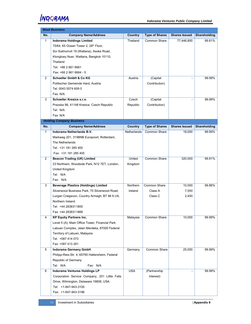|                | <b>Wool Business</b>                             |             |                       |                      |              |
|----------------|--------------------------------------------------|-------------|-----------------------|----------------------|--------------|
| No.            | <b>Company Name/Address</b>                      | Country     | <b>Type of Shares</b> | <b>Shares Issued</b> | Shareholding |
| $\mathbf{1}$   | <b>Indorama Holdings Limited</b>                 | Thailand    | Common Share          | 77,446,800           | 99.81%       |
|                | 75/64, 65 Ocean Tower 2, 28 <sup>th</sup> Floor, |             |                       |                      |              |
|                | Soi Sukhumvit 19 (Wattana), Asoke Road,          |             |                       |                      |              |
|                | Klongtoey Nuer, Wattana, Bangkok 10110,          |             |                       |                      |              |
|                | Thailand                                         |             |                       |                      |              |
|                | Tel: +66 2 661 6661                              |             |                       |                      |              |
|                | Fax: +66 2 661 6664 - 5                          |             |                       |                      |              |
| $\overline{2}$ | <b>Schoeller GmbH &amp; Co KG</b>                | Austria     | (Capital              |                      | 99.99%       |
|                | Politischer Gemeinde Hard, Austria               |             | Contribution)         |                      |              |
|                | Tel: 0043 5574 609 0                             |             |                       |                      |              |
|                | Fax: N/A                                         |             |                       |                      |              |
| 3              | Schoeller Kresice s.r.o.                         | Czech       | (Capital              |                      | 99.99%       |
|                | Prazska 98, 41148 Kresice, Czech Republic        | Republic    | Contribution)         |                      |              |
|                | Tel: N/A                                         |             |                       |                      |              |
|                | Fax: N/A                                         |             |                       |                      |              |
|                | <b>Holding Company Business</b>                  |             |                       |                      |              |
| No.            | <b>Company Name/Address</b>                      | Country     | <b>Type of Shares</b> | <b>Shares Issued</b> | Shareholding |
| $\mathbf{1}$   | Indorama Netherlands B.V.                        | Netherlands | Common Share          | 18,000               | 99.99%       |
|                | Markweg 201, 3198NB Europoort, Rotterdam,        |             |                       |                      |              |
|                | The Netherlands                                  |             |                       |                      |              |
|                | Tel: +31 181 285 400                             |             |                       |                      |              |
|                | Fax: +31 181 285 405                             |             |                       |                      |              |
| $\overline{2}$ | <b>Beacon Trading (UK) Limited</b>               | United      | Common Share          | 320,000              | 99.81%       |
|                | 23 Northiam, Woodside Park, N12 7ET, London,     | Kingdom     |                       |                      |              |
|                | United Kingdom                                   |             |                       |                      |              |
|                | Tel: N/A                                         |             |                       |                      |              |
|                | Fax: N/A                                         |             |                       |                      |              |
| 3              | <b>Beverage Plastics (Holdings) Limited</b>      | Northern    | Common Share          | 10.000               | 99.86%       |
|                | Silverwood Business Park, 70 Silverwood Road,    | Ireland     | Class A               | 7,550                |              |
|                | Lurgan Craigavon, Country Armagh, BT 66 6 LN,    |             | Class C               | 2,450                |              |
|                | Northern Ireland                                 |             |                       |                      |              |
|                | Tel: +44 2838311800                              |             |                       |                      |              |
|                | Fax: +44 2838311888                              |             |                       |                      |              |
| 4              | <b>KP Equity Partners Inc.</b>                   | Malaysia    | Common Share          | 10,000               | 99.99%       |
|                | Level 5 (A), Main Office Tower, Financial Park   |             |                       |                      |              |
|                | Labuan Complex, Jalan Merdeka, 87000 Federal     |             |                       |                      |              |
|                | Territory of Labuan, Malaysia                    |             |                       |                      |              |
|                | Tel: +087 414 073                                |             |                       |                      |              |
|                | Fax: +087 413 281                                |             |                       |                      |              |
| 5              | Indorama Germany GmbH                            | Germany     | Common Share          | 25,000               | 99.99%       |
|                | Philipp-Reis-Str. 4, 65795 Hattersheim, Federal  |             |                       |                      |              |
|                | Republic of Germany                              |             |                       |                      |              |
|                | Fax: N/A<br>Tel: N/A                             |             |                       |                      |              |
| 6              | Indorama Ventures Holdings LP                    | <b>USA</b>  | (Partnership          |                      | 99.99%       |
|                | Corporation Service Company, 251 Little Falls    |             | Interest)             |                      |              |
|                | Drive, Wilmington, Delaware 19808, USA           |             |                       |                      |              |
|                | Tel: +1-847-943-3100                             |             |                       |                      |              |
|                | Fax: +1-847-943-3196                             |             |                       |                      |              |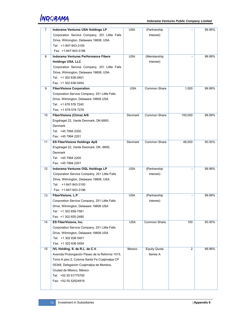| 7  | Indorama Ventures USA Holdings LP              | <b>USA</b>     | (Partnership        |         | 99.99% |
|----|------------------------------------------------|----------------|---------------------|---------|--------|
|    | Corporation Service Company, 251 Little Falls  |                | Interest)           |         |        |
|    |                                                |                |                     |         |        |
|    | Drive, Wilmington, Delaware 19808, USA         |                |                     |         |        |
|    | Tel: +1-847-943-3100                           |                |                     |         |        |
|    | Fax: +1-847-943-3196                           |                |                     |         |        |
| 8  | <b>Indorama Ventures Performance Fibers</b>    | <b>USA</b>     | (Membership         |         | 99.99% |
|    | <b>Holdings USA, LLC</b>                       |                | Interest)           |         |        |
|    | Corporation Service Company, 251 Little Falls  |                |                     |         |        |
|    | Drive, Wilmington, Delaware 19808, USA         |                |                     |         |        |
|    | Tel: +1 302 636-5401                           |                |                     |         |        |
|    | Fax: +1 302 636-5454                           |                |                     |         |        |
| 9  | <b>FiberVisions Corporation</b>                | <b>USA</b>     | Common Share        | 1,000   | 99.99% |
|    | Corporation Service Company, 251 Little Falls  |                |                     |         |        |
|    | Drive, Wilmington, Delaware 19808 USA          |                |                     |         |        |
|    | Tel: +1 678 578 7240                           |                |                     |         |        |
|    | Fax: +1 678 578 7276                           |                |                     |         |        |
| 10 | <b>FiberVisions (China) A/S</b>                | Denmark        | <b>Common Share</b> | 100,000 | 99.99% |
|    | Engdraget 22, Varde Denmark, DK-6800,          |                |                     |         |        |
|    | Denmark                                        |                |                     |         |        |
|    | Tel: +45 7994 2200                             |                |                     |         |        |
|    | Fax: +45 7994 2201                             |                |                     |         |        |
| 11 | <b>ES FiberVisions Holdings ApS</b>            | <b>Denmark</b> | <b>Common Share</b> | 48,500  | 50.00% |
|    | Engdraget 22, Varde Denmark, DK- 6800,         |                |                     |         |        |
|    | Denmark                                        |                |                     |         |        |
|    | Tel: +45 7994 2200                             |                |                     |         |        |
|    | Fax: +45 7994 2201                             |                |                     |         |        |
| 12 | Indorama Ventures OGL Holdings LP              | <b>USA</b>     | (Partnership        |         | 99.99% |
|    | Corporation Service Company, 251 Little Falls  |                | Interest)           |         |        |
|    | Drive, Wilmington, Delaware 19808, USA         |                |                     |         |        |
|    | Tel: +1-847-943-3100                           |                |                     |         |        |
|    | Fax: +1-847-943-3196                           |                |                     |         |        |
| 13 | FiberVisions, L.P.                             | <b>USA</b>     | (Partnership        |         | 99.99% |
|    | Corporation Service Company, 251 Little Falls  |                | Interest)           |         |        |
|    | Drive, Wilmington, Delaware 19808 USA          |                |                     |         |        |
|    | Tel: +1 302 658-7581                           |                |                     |         |        |
|    | Fax: +1 302 655-2480                           |                |                     |         |        |
| 14 | <b>ES FiberVisions, Inc.</b>                   | <b>USA</b>     | Common Share        | 100     | 50.00% |
|    | Corporation Service Company, 251 Little Falls  |                |                     |         |        |
|    | Drive, Wilmington, Delaware 19808 USA          |                |                     |         |        |
|    | Tel: +1 302 636 5401                           |                |                     |         |        |
|    | Fax: +1 302 636 5454                           |                |                     |         |        |
| 15 | IVL Holding, S. de R.L. de C.V.                | Mexico         | <b>Equity Quota</b> | 2       | 99.99% |
|    | Avenida Prolongación Paseo de la Reforma 1015, |                | Series A            |         |        |
|    | Torre A piso 2, Colonia Santa Fe Cuajimalpa CP |                |                     |         |        |
|    | 05348, Delegación Cuajimalpa de Morelos,       |                |                     |         |        |
|    | Ciudad de México, México                       |                |                     |         |        |
|    | Tel: +52 55 91775700                           |                |                     |         |        |
|    | Fax: +52 55 52924919                           |                |                     |         |        |
|    |                                                |                |                     |         |        |
|    |                                                |                |                     |         |        |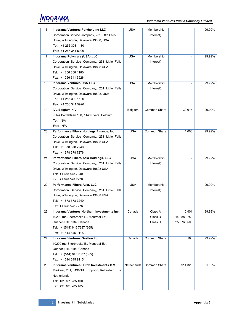| 16 | <b>Indorama Ventures Polyholding LLC</b>      | USA         | (Membership         |             | 99.99% |
|----|-----------------------------------------------|-------------|---------------------|-------------|--------|
|    | Corporation Service Company, 251 Little Falls |             | Interest)           |             |        |
|    | Drive, Wilmington, Delaware 19808, USA        |             |                     |             |        |
|    | Tel: +1 256 308 1180                          |             |                     |             |        |
|    | Fax: +1 256 341 5926                          |             |                     |             |        |
| 17 | Indorama Polymers (USA) LLC                   | <b>USA</b>  | (Membership         |             | 99.99% |
|    | Corporation Service Company, 251 Little Falls |             | Interest)           |             |        |
|    | Drive, Wilmington, Delaware 19808 USA         |             |                     |             |        |
|    | Tel: +1 256 308 1180                          |             |                     |             |        |
|    | Fax: +1 256 341 5926                          |             |                     |             |        |
| 18 | <b>Indorama Ventures USA LLC</b>              | <b>USA</b>  | (Membership         |             | 99.99% |
|    | Corporation Service Company, 251 Little Falls |             | Interest)           |             |        |
|    | Drive, Wilmington, Delaware 19808, USA        |             |                     |             |        |
|    | Tel: +1 256 308 1180                          |             |                     |             |        |
|    | Fax: +1 256 341 5926                          |             |                     |             |        |
|    |                                               |             |                     |             |        |
| 19 | <b>IVL Belgium N.V.</b>                       | Belgium     | Common Share        | 30,615      | 99.99% |
|    | Jules Bordetlaan 160, 1140 Evere, Belgium     |             |                     |             |        |
|    | Tel: N/A                                      |             |                     |             |        |
|    | Fax: N/A                                      |             |                     |             |        |
| 20 | Performance Fibers Holdings Finance, Inc.     | <b>USA</b>  | <b>Common Share</b> | 1,000       | 99.99% |
|    | Corporation Service Company, 251 Little Falls |             |                     |             |        |
|    | Drive, Wilmington, Delaware 19808 USA         |             |                     |             |        |
|    | Tel: +1 678 578 7240                          |             |                     |             |        |
|    | Fax: +1 678 578 7276                          |             |                     |             |        |
|    | Performance Fibers Asia Holdings, LLC         | <b>USA</b>  | (Membership         |             | 99.99% |
| 21 |                                               |             |                     |             |        |
|    | Corporation Service Company, 251 Little Falls |             | Interest)           |             |        |
|    | Drive, Wilmington, Delaware 19808 USA         |             |                     |             |        |
|    | Tel: +1 678 578 7240                          |             |                     |             |        |
|    | Fax: +1 678 578 7276                          |             |                     |             |        |
| 22 | Performance Fibers Asia, LLC                  | <b>USA</b>  | (Membership)        |             | 99.99% |
|    | Corporation Service Company, 251 Little Falls |             | Interest)           |             |        |
|    |                                               |             |                     |             |        |
|    | Drive, Wilmington, Delaware 19808 USA         |             |                     |             |        |
|    | Tel: +1 678 578 7240                          |             |                     |             |        |
|    | Fax: +1 678 578 7276                          |             |                     |             |        |
| 23 | Indorama Ventures Northern Investments Inc.   | Canada      | Class A             | 10,401      | 99.99% |
|    | 10200 rue Sherbrooke E., Montreal-Est,        |             | Class B             | 149,889,750 |        |
|    | Quebec H1B 1B4, Canada                        |             | Class C             | 256,766,500 |        |
|    | Tel: +1(514) 645 7887 (365)                   |             |                     |             |        |
|    | Fax: +1 514 645 9115                          |             |                     |             |        |
| 24 | Indorama Ventures Gestion Inc.                | Canada      | Common Share        | 100         | 99.99% |
|    | 10200 rue Sherbrooke E., Montreal-Est,        |             |                     |             |        |
|    | Quebec H1B 1B4, Canada                        |             |                     |             |        |
|    | Tel: +1(514) 645 7887 (365)                   |             |                     |             |        |
|    | Fax: +1 514 645 9115                          |             |                     |             |        |
| 25 | Indorama Ventures Dutch Investments B.V.      | Netherlands | Common Share        | 8,914,320   | 51.00% |
|    | Markweg 201, 3198NB Europoort, Rotterdam, The |             |                     |             |        |
|    | Netherlands                                   |             |                     |             |        |
|    | Tel: +31 181 285 400                          |             |                     |             |        |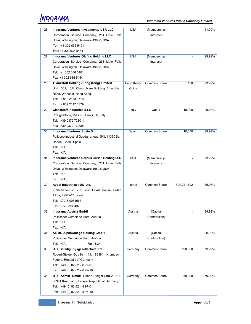| 26 | <b>Indorama Ventures Investments USA LLC</b>               | <b>USA</b> | (Membership   |                | 51.00% |
|----|------------------------------------------------------------|------------|---------------|----------------|--------|
|    | Corporation Service Company, 251 Little Falls              |            | Interest)     |                |        |
|    | Drive, Wilmington, Delaware 19808, USA                     |            |               |                |        |
|    | Tel: +1 302 636 5401                                       |            |               |                |        |
|    | Fax: +1 302 636 5454                                       |            |               |                |        |
| 27 | Indorama Ventures Olefins Holding LLC                      | <b>USA</b> | (Membership   | $\overline{a}$ | 99.99% |
|    | Corporation Service Company, 251 Little Falls              |            | Interest)     |                |        |
|    | Drive, Wilmington, Delaware 19808, USA                     |            |               |                |        |
|    | Tel: +1 302 636 5401                                       |            |               |                |        |
|    | Fax: +1 302 636 5454                                       |            |               |                |        |
| 28 | <b>Glanzstoff Holding (Hong Kong) Limited</b>              | Hong Kong- | Common Share  | 100            | 99.99% |
|    | Unit 1301, 13/F. Chung Nam Building, 1 Lockhart            | China      |               |                |        |
|    | Road, Wanchai, Hong Kong                                   |            |               |                |        |
|    | Tel: + 852 2153 9718                                       |            |               |                |        |
|    |                                                            |            |               |                |        |
|    | Fax: +852 2117 1879<br><b>Glanzstoff Industries S.r.I.</b> |            |               |                | 99.99% |
| 29 |                                                            | Italy      | Quota         | 10,000         |        |
|    | Pizzighettone, Via G.B. Pirelli, 56, Italy                 |            |               |                |        |
|    | Tel: +39 0372 738011                                       |            |               |                |        |
|    | Fax: +39 0372 730001                                       |            |               |                |        |
| 30 | Indorama Ventures Spain S.L.                               | Spain      | Common Share  | 10,000         | 99.99% |
|    | Poligono Industrial Guadarranque, S/N, 11360 San           |            |               |                |        |
|    | Roque, Cadiz, Spain                                        |            |               |                |        |
|    | Tel: N/A                                                   |            |               |                |        |
|    | Fax: N/A                                                   |            |               |                |        |
| 31 | Indorama Ventures Corpus Christi Holding LLC               | <b>USA</b> | (Membership   |                | 99.99% |
|    | Corporation Service Company, 251 Little Falls              |            | Interest)     |                |        |
|    | Drive, Wilmington, Delaware 19808, USA                     |            |               |                |        |
|    | Tel: N/A                                                   |            |               |                |        |
|    | Fax: N/A                                                   |            |               |                |        |
| 32 | Avgol Industries 1953 Ltd.                                 | Israel     | Common Share  | 304,221,602    | 65.96% |
|    | 9 Shimshon st., 7th Floor, Lexus House, Petah              |            |               |                |        |
|    | Tikva, 4952707, Israel                                     |            |               |                |        |
|    | Tel: 972-3-9061555                                         |            |               |                |        |
|    | Fax: 972-3-9364376                                         |            |               |                |        |
| 33 | Indorama Austria GmbH                                      | Austria    | (Capital      |                | 99.99% |
|    | Politischer Gemeinde Hard, Austria                         |            | Contribution) |                |        |
|    | Tel: N/A                                                   |            |               |                |        |
|    | Fax: N/A                                                   |            |               |                |        |
| 34 | AE BG AlphaOmega Holding GmbH                              | Austria    | (Capital      | $\overline{a}$ | 99.99% |
|    | Politischer Gemeinde Hard, Austria                         |            | Contribution) |                |        |
|    | Tel: N/A<br>Fax: N/A                                       |            |               |                |        |
| 35 | UTT Beteiligungsgesellschaft mbH                           | Germany    | Common Share  | 100,000        | 79.99% |
|    | Robert-Steiger-Straße 111, 86381 Krumbach,                 |            |               |                |        |
|    | Federal Republic of Germany                                |            |               |                |        |
|    | Tel: $+49(0)$ 82 82 - 8 97-0                               |            |               |                |        |
|    | Fax: $+49(0)$ 82 82 - 8 97-100                             |            |               |                |        |
| 36 | UTT Admin GmbH Robert-Steiger-Straße 111,                  | Germany    | Common Share  | 50,000         | 79.99% |
|    | 86381 Krumbach, Federal Republic of Germany                |            |               |                |        |
|    | Tel: $+49(0)$ 82 82 - 8 97-0                               |            |               |                |        |
|    | Fax: $+49(0)$ 82 82 - 8 97-100                             |            |               |                |        |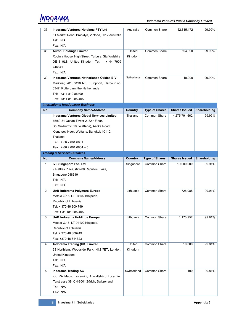| 37             | Indorama Ventures Holdings PTY Ltd                  | Australia   | Common Share          | 52,315,172           | 99.99%              |
|----------------|-----------------------------------------------------|-------------|-----------------------|----------------------|---------------------|
|                | 61 Market Road, Brooklyn, Victoria, 3012 Australia  |             |                       |                      |                     |
|                | Tel: N/A                                            |             |                       |                      |                     |
|                | Fax: N/A                                            |             |                       |                      |                     |
| 38             | <b>Autofil Holdings Limited</b>                     | United      | Common Share          | 594,090              | 99.99%              |
|                | Robinia House, High Street, Tutbury, Staffordshire, | Kingdom     |                       |                      |                     |
|                | DE13 9LS, United Kingdom Tel:<br>+ 44 7909          |             |                       |                      |                     |
|                | 746641                                              |             |                       |                      |                     |
|                | Fax: N/A                                            |             |                       |                      |                     |
| 39             | Indorama Ventures Netherlands Oxides B.V.           | Netherlands | Common Share          | 10,000               | 99.99%              |
|                | Markweg 201, 3198 NB, Europoort, Harbour no.        |             |                       |                      |                     |
|                | 6347, Rotterdam, the Netherlands                    |             |                       |                      |                     |
|                | Tel: +311 812 85400                                 |             |                       |                      |                     |
|                | Fax: +311 81 285 405                                |             |                       |                      |                     |
|                | <b>International Headquarter Business</b>           |             |                       |                      |                     |
|                |                                                     |             |                       |                      | <b>Shareholding</b> |
| No.            | <b>Company Name/Address</b>                         | Country     | <b>Type of Shares</b> | <b>Shares Issued</b> |                     |
| $\mathbf{1}$   | Indorama Ventures Global Services Limited           | Thailand    | <b>Common Share</b>   | 4,275,791,662        | 99.99%              |
|                | 75/80-81 Ocean Tower 2, 32 <sup>nd</sup> Floor,     |             |                       |                      |                     |
|                | Soi Sukhumvit 19 (Wattana), Asoke Road,             |             |                       |                      |                     |
|                | Klongtoey Nuer, Wattana, Bangkok 10110,             |             |                       |                      |                     |
|                | Thailand                                            |             |                       |                      |                     |
|                | Tel: +66 2 661 6661                                 |             |                       |                      |                     |
|                | Fax: $+6626616664-5$                                |             |                       |                      |                     |
|                | <b>Trading &amp; Services Business</b>              |             |                       |                      |                     |
| No.            | <b>Company Name/Address</b>                         | Country     | <b>Type of Shares</b> | <b>Shares Issued</b> | Shareholding        |
|                |                                                     |             |                       |                      |                     |
| $\mathbf{1}$   | <b>IVL Singapore Pte. Ltd.</b>                      | Singapore   | Common Share          | 19,000,000           | 99.91%              |
|                | 9 Raffles Place, #27-00 Republic Plaza,             |             |                       |                      |                     |
|                | Singapore 048619                                    |             |                       |                      |                     |
|                | Tel: N/A                                            |             |                       |                      |                     |
|                | Fax: N/A                                            |             |                       |                      |                     |
| $\overline{2}$ |                                                     | Lithuania   | Common Share          | 725,088              | 99.91%              |
|                | <b>UAB Indorama Polymers Europe</b>                 |             |                       |                      |                     |
|                | Metalo G.16, LT-94102 Klaipeda,                     |             |                       |                      |                     |
|                | Republic of Lithuania<br>Tel: + 370 46 300 749      |             |                       |                      |                     |
|                |                                                     |             |                       |                      |                     |
|                | Fax: + 31 181 285 405                               |             |                       |                      |                     |
| 3              | <b>UAB Indorama Holdings Europe</b>                 | Lithuania   | Common Share          | 1,173,952            | 99.81%              |
|                | Metalo G.16, LT-94102 Klaipeda,                     |             |                       |                      |                     |
|                | Republic of Lithuania                               |             |                       |                      |                     |
|                | Tel: + 370 46 300749                                |             |                       |                      |                     |
|                | Fax: +370 46 314323                                 |             |                       |                      |                     |
| $\overline{4}$ | <b>Indorama Trading (UK) Limited</b>                | United      | Common Share          | 10,000               | 99.81%              |
|                | 23 Northiam, Woodside Park, N12 7ET, London,        | Kingdom     |                       |                      |                     |
|                | United Kingdom                                      |             |                       |                      |                     |
|                | Tel: N/A                                            |             |                       |                      |                     |
|                | Fax: N/A                                            |             |                       |                      |                     |
| 5              | <b>Indorama Trading AG</b>                          | Switzerland | Common Share          | 100                  | 99.81%              |
|                | c/o RA Mauro Locarnini, Anwaltsbüro Locarnini,      |             |                       |                      |                     |
|                | Talstrasse 39, CH-8001 Zürich, Switzerland          |             |                       |                      |                     |
|                | Tel: N/A                                            |             |                       |                      |                     |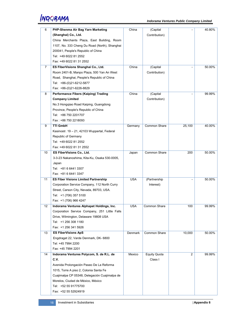| 6  | PHP-Shenma Air Bag Yarn Marketing             | China      | (Capital            |                | 40.80% |
|----|-----------------------------------------------|------------|---------------------|----------------|--------|
|    | (Shanghai) Co., Ltd.                          |            | Contribution)       |                |        |
|    | China Merchants Plaza, East Building, Room    |            |                     |                |        |
|    | 1107, No. 333 Cheng Du Road (North), Shanghai |            |                     |                |        |
|    | 200041, People's Republic of China            |            |                     |                |        |
|    | Tel: +49 6022 81 2552                         |            |                     |                |        |
|    | Fax: +49 6022 81 31 2552                      |            |                     |                |        |
| 7  | ES FiberVisions Shanghai Co., Ltd.            | China      | (Capital            |                | 50.00% |
|    | Room 2401-B, Manpo Plaza, 500 Yan An West     |            | Contribution)       |                |        |
|    | Road, Shanghai, People's Republic of China    |            |                     |                |        |
|    |                                               |            |                     |                |        |
|    | Tel: +86-(0)21-6212-5877                      |            |                     |                |        |
|    | Fax: +86-(0)21-6226-8829                      |            |                     |                |        |
| 8  | Performance Fibers (Kaiping) Trading          | China      | (Capital            |                | 99.99% |
|    | <b>Company Limited</b>                        |            | Contribution)       |                |        |
|    | No.3 Hongqiao Road Kaiping, Guangdong         |            |                     |                |        |
|    | Province, People's Republic of China          |            |                     |                |        |
|    | Tel: +86 750 2201707                          |            |                     |                |        |
|    | Fax: +86 750 2218093                          |            |                     |                |        |
| 9  | <b>TTI GmbH</b>                               | Germany    | Common Share        | 25,100         | 40.00% |
|    | Kasinostr. 19 - 21, 42103 Wuppertal, Federal  |            |                     |                |        |
|    | Republic of Germany                           |            |                     |                |        |
|    | Tel: +49 6022 81 2552                         |            |                     |                |        |
|    | Fax: +49 6022 81 31 2552                      |            |                     |                |        |
| 10 | ES FiberVisions Co., Ltd.                     | Japan      | Common Share        | 200            | 50.00% |
|    | 3-3-23 Nakanoshima, Kita-Ku, Osaka 530-0005,  |            |                     |                |        |
|    | Japan                                         |            |                     |                |        |
|    | Tel: +81 6 6441 3307                          |            |                     |                |        |
|    | Fax: +81 6 6441 3347                          |            |                     |                |        |
| 11 | <b>ES Fiber Visions Limited Partnership</b>   | <b>USA</b> | (Partnership        |                | 50.00% |
|    | Corporation Service Company, 112 North Curry  |            | Interest)           |                |        |
|    | Street, Carson City, Nevada, 89703, USA.      |            |                     |                |        |
|    | Tel: +1 (706) 357 5100                        |            |                     |                |        |
|    | Fax: +1 (706) 966 4247                        |            |                     |                |        |
| 12 | Indorama Ventures Alphapet Holdings, Inc.     | <b>USA</b> | Common Share        | 100            | 99.99% |
|    | Corporation Service Company, 251 Little Falls |            |                     |                |        |
|    | Drive, Wilmington, Delaware 19808 USA         |            |                     |                |        |
|    | Tel: +1 256 308 1180                          |            |                     |                |        |
|    | Fax: +1 256 341 5926                          |            |                     |                |        |
| 13 | <b>ES FiberVisions ApS</b>                    | Denmark    | Common Share        | 10,000         | 50.00% |
|    | Engdraget 22, Varde Denmark, DK- 6800         |            |                     |                |        |
|    | Tel: +45 7994 2200                            |            |                     |                |        |
|    | Fax: +45 7994 2201                            |            |                     |                |        |
| 14 | Indorama Ventures Polycom, S. de R.L. de      | Mexico     | <b>Equity Quota</b> | $\overline{2}$ | 99.99% |
|    | C.V.                                          |            | Class I             |                |        |
|    | Avenida Prolongación Paseo De La Reforma      |            |                     |                |        |
|    | 1015, Torre A piso 2, Colonia Santa Fe        |            |                     |                |        |
|    | Cuajimalpa CP 05348, Delegación Cuajimalpa de |            |                     |                |        |
|    | Morelos, Ciudad de México, México             |            |                     |                |        |
|    | Tel: +52 55 91775700                          |            |                     |                |        |
|    | Fax: +52 55 52924919                          |            |                     |                |        |
|    |                                               |            |                     |                |        |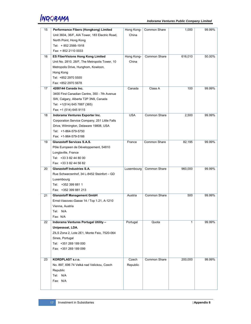| 15 | Performance Fibers (Hongkong) Limited          | Hong Kong- | <b>Common Share</b> | 1,000   | 99.99% |
|----|------------------------------------------------|------------|---------------------|---------|--------|
|    | Unit 3604, 36/F, AIA Tower, 183 Electric Road, | China      |                     |         |        |
|    | North Point, Hong Kong                         |            |                     |         |        |
|    | Tel: +852 2566-1918                            |            |                     |         |        |
|    | Fax: + 852 2110 0033                           |            |                     |         |        |
| 16 | <b>ES FiberVisions Hong Kong Limited</b>       | Hong Kong- | Common Share        | 616,010 | 50.00% |
|    | Unit No. 2810. 28/F, The Metropolis Tower, 10  | China      |                     |         |        |
|    | Metropolis Drive, Hunghom, Kowloon,            |            |                     |         |        |
|    | Hong Kong                                      |            |                     |         |        |
|    | Tel: +852 2970 5555                            |            |                     |         |        |
|    | Fax: +852 2970 5678                            |            |                     |         |        |
| 17 | 4200144 Canada Inc.                            | Canada     | Class A             | 100     | 99.99% |
|    |                                                |            |                     |         |        |
|    | 3400 First Canadian Centre, 350 - 7th Avenue   |            |                     |         |        |
|    | SW, Calgary, Alberta T2P 3N9, Canada           |            |                     |         |        |
|    | Tel: +1(514) 645 7887 (365)                    |            |                     |         |        |
|    | Fax: +1 (514) 645 9115                         |            |                     |         |        |
| 18 | Indorama Ventures Exporter Inc.                | <b>USA</b> | Common Share        | 2,500   | 99.99% |
|    | Corporation Service Company, 251 Little Falls  |            |                     |         |        |
|    | Drive, Wilmington, Delaware 19808, USA         |            |                     |         |        |
|    | Tel: +1-864-579-5750                           |            |                     |         |        |
|    | Fax: +1-964-579-5166                           |            |                     |         |        |
| 19 | <b>Glanzstoff Services S.A.S.</b>              | France     | Common Share        | 82,195  | 99.99% |
|    | Pôle Europeen de Développement, 54810          |            |                     |         |        |
|    | Longlaville, France                            |            |                     |         |        |
|    | Tel: +33 3 82 44 80 00                         |            |                     |         |        |
|    | Fax: +33 3 82 44 56 82                         |            |                     |         |        |
| 20 | <b>Glanzstoff Industries S.A.</b>              | Luxembourg | Common Share        | 960,000 | 99.99% |
|    | Rue Schwarzenhof, 34 L-8452 Steinfort - GD     |            |                     |         |        |
|    |                                                |            |                     |         |        |
|    | Luxembourg                                     |            |                     |         |        |
|    | Tel: +352 399 881 1                            |            |                     |         |        |
|    | Fax: +352 399 881 213                          |            |                     |         |        |
| 21 | <b>Glanzstoff Management GmbH</b>              | Austria    | Common Share        | 500     | 99.99% |
|    | Ernst-Vasovec-Gasse 14 / Top 1.21, A-1210      |            |                     |         |        |
|    | Vienna, Austria                                |            |                     |         |        |
|    | Tel: N/A                                       |            |                     |         |        |
|    | Fax: N/A                                       |            |                     |         |        |
| 22 | Indorama Ventures Portugal Utility -           | Portugal   | Quota               | 1       | 99.99% |
|    | Unipessoal, LDA.                               |            |                     |         |        |
|    | ZILS Zona 2, Lote 2E1, Monte Feio, 7520-064    |            |                     |         |        |
|    | Sines, Portugal                                |            |                     |         |        |
|    | Tel: +351 269 189 000                          |            |                     |         |        |
|    | Fax: +351 269 189 099                          |            |                     |         |        |
|    |                                                |            |                     |         |        |
| 23 | <b>KORDPLAST s.r.o.</b>                        | Czech      | Common Share        | 200,000 | 99.99% |
|    | No. 897, 696 74 Velká nad Velickou, Czech      | Republic   |                     |         |        |
|    | Republic                                       |            |                     |         |        |
|    |                                                |            |                     |         |        |
|    | Tel: N/A                                       |            |                     |         |        |
|    | Fax: N/A                                       |            |                     |         |        |
|    |                                                |            |                     |         |        |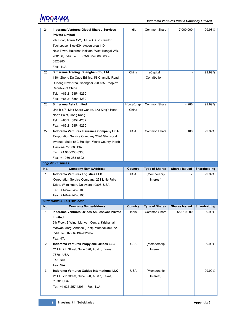| 24             | <b>Indorama Ventures Global Shared Services</b> | India          | Common Share          | 7,000,000                  | 99.98%       |
|----------------|-------------------------------------------------|----------------|-----------------------|----------------------------|--------------|
|                |                                                 |                |                       |                            |              |
|                | <b>Private Limited</b>                          |                |                       |                            |              |
|                | 7th Floor, Tower C-2, IT/ITeS SEZ, Candor       |                |                       |                            |              |
|                | Techspace, BlockDH, Action area 1-D,            |                |                       |                            |              |
|                | New Town, Rajarhat, Kolkata, West Bengal-WB,    |                |                       |                            |              |
|                | 700156, India Tel: 033-68259500 / 033-          |                |                       |                            |              |
|                | 6825980                                         |                |                       |                            |              |
|                | Fax: N/A                                        |                |                       |                            |              |
| 25             | Sinterama Trading (Shanghai) Co., Ltd.          | China          | (Capital              |                            | 99.99%       |
|                | 1804 Zheng Da Cube Edifice, 58 Changliu Road,   |                | Contribution)         |                            |              |
|                | Rudong New Area, Shanghai 200 135, People's     |                |                       |                            |              |
|                | Republic of China                               |                |                       |                            |              |
|                | Tel: +86 21 6854 4230                           |                |                       |                            |              |
|                | Fax: +86 21 6854 4230                           |                |                       |                            |              |
| 26             | Sinterama Asia Limited                          | HongKong-      | <b>Common Share</b>   | 14,286                     | 99.99%       |
|                | Unit B 5/F, Max Share Centre, 373 King's Road,  | China          |                       |                            |              |
|                | North Point, Hong Kong                          |                |                       |                            |              |
|                | Tel: +86 21 6854 4232                           |                |                       |                            |              |
|                | Fax: +86 21 6854 4230                           |                |                       |                            |              |
| 27             | Indorama Ventures Insurance Company USA         | <b>USA</b>     | Common Share          | 100                        | 99.99%       |
|                | Corporation Service Company 2626 Glenwood       |                |                       |                            |              |
|                | Avenue, Suite 550, Raleigh, Wake County, North  |                |                       |                            |              |
|                | Carolina, 27608 USA.                            |                |                       |                            |              |
|                | Tel: +1 980-233-8300                            |                |                       |                            |              |
|                | Fax: +1 980-233-6602                            |                |                       |                            |              |
|                |                                                 |                |                       |                            |              |
|                |                                                 |                |                       |                            |              |
|                | <b>Logistic Business</b>                        |                |                       |                            |              |
| No.            | <b>Company Name/Address</b>                     | <b>Country</b> | <b>Type of Shares</b> | <b>Shares Issued</b>       | Shareholding |
| $\mathbf{1}$   | <b>Indorama Ventures Logistics LLC</b>          | <b>USA</b>     | (Membership           |                            | 99.99%       |
|                | Corporation Service Company, 251 Little Falls   |                | Interest)             |                            |              |
|                | Drive, Wilmington, Delaware 19808, USA          |                |                       |                            |              |
|                | Tel: +1-847-943-3100                            |                |                       |                            |              |
|                | Fax: +1-847-943-3196                            |                |                       |                            |              |
|                | <b>Surfactants &amp; LAB Business</b>           |                |                       |                            |              |
| No.            | <b>Company Name/Address</b>                     | Country        | <b>Type of Shares</b> | Shares Issued Shareholding |              |
| 1              | Indorama Ventures Oxides Ankleshwar Private     | India          | Common Share          | 55,010,000                 | 99.98%       |
|                | Limited                                         |                |                       |                            |              |
|                | 6th Floor, B Wing, Marwah Centre, Krishanlal    |                |                       |                            |              |
|                | Marwah Marg, Andheri (East), Mumbai 400072,     |                |                       |                            |              |
|                | India Tel: 022 69194702/704                     |                |                       |                            |              |
|                | Fax: N/A                                        |                |                       |                            |              |
| $\overline{2}$ | Indorama Ventures Propylene Oxides LLC          | <b>USA</b>     | (Membership           |                            | 99.99%       |
|                | 211 E. 7th Street, Suite 620, Austin, Texas,    |                | Interest)             |                            |              |
|                | 78701 USA                                       |                |                       |                            |              |
|                | Tel: N/A                                        |                |                       |                            |              |
|                | Fax: N/A                                        |                |                       |                            |              |
| 3              | Indorama Ventures Oxides International LLC      | <b>USA</b>     | (Membership           |                            | 99.99%       |
|                | 211 E. 7th Street, Suite 620, Austin, Texas,    |                | Interest)             |                            |              |
|                | 78701 USA                                       |                |                       |                            |              |
|                | Tel: +1 936-257-4207<br>Fax: N/A                |                |                       |                            |              |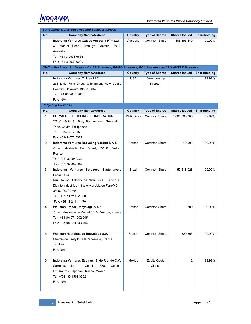|                | <b>Surfactants &amp; LAB Business and EG/EO Business</b>                                         |             |                       |                      |              |
|----------------|--------------------------------------------------------------------------------------------------|-------------|-----------------------|----------------------|--------------|
| No.            | <b>Company Name/Address</b>                                                                      | Country     | <b>Type of Shares</b> | <b>Shares Issued</b> | Shareholding |
| $\mathbf{1}$   | Indorama Ventures Oxides Australia PTY Ltd.                                                      | Australia   | Common Share          | 105,893,449          | 99.99%       |
|                | Market Road, Brooklyn, Victoria, 3012,<br>61                                                     |             |                       |                      |              |
|                | Australia                                                                                        |             |                       |                      |              |
|                | Tel: +61 3 9933 6666                                                                             |             |                       |                      |              |
|                | Fax: +61 3 9933 6000                                                                             |             |                       |                      |              |
|                | Olefins Business, Surfactants & LAB Business, EG/EO Business, EOA Business and PO &MTBE Business |             |                       |                      |              |
| No.            | <b>Company Name/Address</b>                                                                      | Country     | <b>Type of Shares</b> | <b>Shares Issued</b> | Shareholding |
| $\mathbf{1}$   | <b>Indorama Ventures Oxides LLC</b>                                                              | <b>USA</b>  | (Membership           |                      | 99.99%       |
|                | 251 Little Falls Drive, Wilmington, New Castle                                                   |             | Interest)             |                      |              |
|                | Country, Delaware 19808, USA                                                                     |             |                       |                      |              |
|                | Tel: +1 630-818-7816                                                                             |             |                       |                      |              |
|                | Fax: N/A                                                                                         |             |                       |                      |              |
|                | <b>Recycling Business</b>                                                                        |             |                       |                      |              |
| No.            | <b>Company Name/Address</b>                                                                      | Country     | <b>Type of Shares</b> | <b>Shares Issued</b> | Shareholding |
| $\mathbf{1}$   | PETVALUE PHILIPPINES CORPORATION                                                                 | Philippines | Common Share          | 1,000,000,000        | 69.99%       |
|                | 2/F #24 Sotto St., Brgy. Bagumbayan, General                                                     |             |                       |                      |              |
|                | Trias, Cavite, Philippines                                                                       |             |                       |                      |              |
|                | Tel: +6349 572 0379                                                                              |             |                       |                      |              |
|                | Fax: +6349 572 0387                                                                              |             |                       |                      |              |
| $\overline{2}$ | <b>Indorama Ventures Recycling Verdun S.A.S</b>                                                  | France      | Common Share          | 10,000               | 99.99%       |
|                | Zone Industrielle De Regret, 55100 Verdun,                                                       |             |                       |                      |              |
|                | France                                                                                           |             |                       |                      |              |
|                | Tel: (33) 329843232                                                                              |             |                       |                      |              |
| 3              | Fax: (33) 329843104<br>Indorama Ventures Solucoes Sustentaveis                                   | Brazil      | Common Share          |                      | 99.99%       |
|                | Brasil Ltda.                                                                                     |             |                       | 52,518,028           |              |
|                | Rua Jovino Antônio da Silva 250, Building C,                                                     |             |                       |                      |              |
|                | Distrito Industrial, in the city of Juiz de Fora/MG                                              |             |                       |                      |              |
|                | 36092-007/ Brazil                                                                                |             |                       |                      |              |
|                | Tel: +55 11 2111-1388                                                                            |             |                       |                      |              |
|                | Fax: +55 11 2111-1470                                                                            |             |                       |                      |              |
| 4              | Wellman France Recyclage S.A.S.                                                                  | France      | Common Share          | 500                  | 99.99%       |
|                | Zone Industrielle de Regret 55100 Verdun, France                                                 |             |                       |                      |              |
|                | Tel: +33 (0) 971 002 005                                                                         |             |                       |                      |              |
|                | Fax: +33 (0) 329 843 104                                                                         |             |                       |                      |              |
|                |                                                                                                  |             |                       |                      |              |
| 5              | Wellman Neufchateau Recyclage S.A.                                                               | France      | <b>Common Share</b>   | 320,866              | 99.99%       |
|                | Chemin de Grety 88300 Rebeuville, France                                                         |             |                       |                      |              |
|                | Tel: N/A                                                                                         |             |                       |                      |              |
|                | Fax: N/A                                                                                         |             |                       |                      |              |
|                |                                                                                                  |             |                       |                      |              |
| 6              | Indorama Ventures Ecomex, S. de R.L. de C.V.                                                     | Mexico      | <b>Equity Quota</b>   | $\overline{2}$       | 99.99%       |
|                | Carretera Libre a Colotlan 6800. Colonia                                                         |             | Class I               |                      |              |
|                | Extramuros. Zapopan, Jalisco, Mexico                                                             |             |                       |                      |              |
|                | Tel: +(52) 33 1561 3732                                                                          |             |                       |                      |              |
|                | Fax: N/A                                                                                         |             |                       |                      |              |
|                |                                                                                                  |             |                       |                      |              |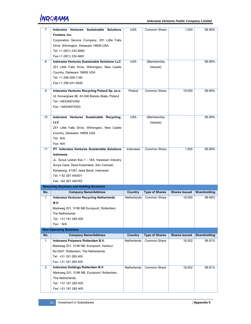| 7              | Indorama Ventures Sustainable Solutions            | USA            | Common Share          | 1,000                | 99.99%       |
|----------------|----------------------------------------------------|----------------|-----------------------|----------------------|--------------|
|                | Fontana, Inc.                                      |                |                       |                      |              |
|                | Corporation Service Company, 251 Little Falls      |                |                       |                      |              |
|                | Drive, Wilmington, Delaware 19808 USA.             |                |                       |                      |              |
|                | Tel: +1 (951) 332-4660                             |                |                       |                      |              |
|                | Fax:+1 (951) 332-4661                              |                |                       |                      |              |
| 8              | <b>Indorama Ventures Sustainable Solutions LLC</b> | <b>USA</b>     | (Membership           |                      | 99.99%       |
|                | 251 Little Falls Drive, Wilmington, New Castle     |                | Interest)             |                      |              |
|                | Country, Delaware 19808 USA                        |                |                       |                      |              |
|                | Tel: +1 256-308-1180                               |                |                       |                      |              |
|                | Fax:+1 256-341-5926                                |                |                       |                      |              |
|                |                                                    |                |                       |                      |              |
| 9              | Indorama Ventures Recycling Poland Sp. zo.o.       | Poland         | Common Share          | 19,000               | 99.99%       |
|                | UI. Konwojowa 96, 43-346 Bielsko Biała, Poland     |                |                       |                      |              |
|                | Tel: +48334974300                                  |                |                       |                      |              |
|                | Fax: +48334974303                                  |                |                       |                      |              |
|                |                                                    |                |                       |                      |              |
| 10             | Indorama Ventures Sustainable Recycling,           | <b>USA</b>     | (Membership           |                      | 99.99%       |
|                | <b>LLC</b>                                         |                | Interest)             |                      |              |
|                | 251 Little Falls Drive, Wilmington, New Castle     |                |                       |                      |              |
|                | Country, Delaware 19808 USA                        |                |                       |                      |              |
|                | Tel: N/A                                           |                |                       |                      |              |
|                | Fax: N/A                                           |                |                       |                      |              |
| 11             | PT. Indorama Ventures Sustainable Solutions        | Indonesia      | Common Share          | 1,500                | 99.99%       |
|                | Indonesia                                          |                |                       |                      |              |
|                | JL. Surya Lestari Kav.1 - 16A, Kawasan Industry    |                |                       |                      |              |
|                | Surya Cipta. Desa Kutamekar, Kec Ciampel,          |                |                       |                      |              |
|                | Karawang, 41361 Jawa Barat, Indonesia              |                |                       |                      |              |
|                | Tel: + 62 267 440501                               |                |                       |                      |              |
|                | Fax: +62 267 440763                                |                |                       |                      |              |
|                | <b>Recycling Business and Holding Business</b>     |                |                       |                      |              |
| No.            | <b>Company Name/Address</b>                        | Country        | <b>Type of Shares</b> | <b>Shares Issued</b> | Shareholding |
| $\mathbf{1}$   | Indorama Ventures Recycling Netherlands            | Netherlands    | <b>Common Share</b>   | 18,000               | 99.99%       |
|                | B.V.                                               |                |                       |                      |              |
|                | Markweg 201, 3198 NB Europoort, Rotterdam,         |                |                       |                      |              |
|                | The Netherlands                                    |                |                       |                      |              |
|                | Tel: +31 181 285 400                               |                |                       |                      |              |
|                | Fax: N/A                                           |                |                       |                      |              |
|                | <b>Non-Operating Business</b>                      |                |                       |                      |              |
| No.            | <b>Company Name/Address</b>                        | <b>Country</b> | <b>Type of Shares</b> | <b>Shares Issued</b> | Shareholding |
| $\mathbf{1}$   | Indorama Polymers Rotterdam B.V.                   | Netherlands    | Common Share          | 18,002               | 99.91%       |
|                | Markweg 201, 3198 NB, Europoort, Harbour           |                |                       |                      |              |
|                | No.6347, Rotterdam, The Netherlands                |                |                       |                      |              |
|                | Tel: +31 181 285 400                               |                |                       |                      |              |
|                | Fax: +31 181 285 405                               |                |                       |                      |              |
| $\overline{2}$ | Indorama Holdings Rotterdam B.V.                   | Netherlands    | Common Share          | 18,002               | 99.81%       |
|                | Markweg 201, 3198 NB, Europoort, Rotterdam,        |                |                       |                      |              |
|                | The Netherlands                                    |                |                       |                      |              |
|                | Tel: +31 181 285 400                               |                |                       |                      |              |
|                |                                                    |                |                       |                      |              |